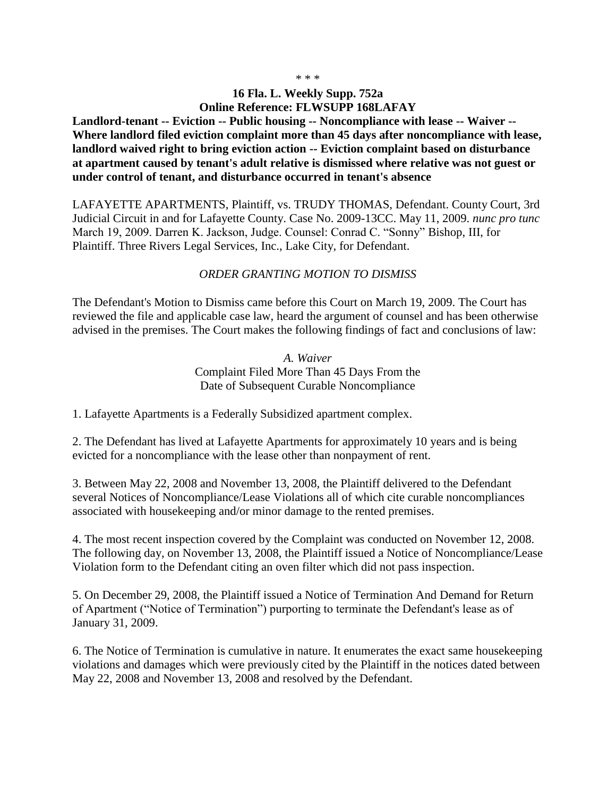## **16 Fla. L. Weekly Supp. 752a Online Reference: FLWSUPP 168LAFAY**

**Landlord-tenant -- Eviction -- Public housing -- Noncompliance with lease -- Waiver -- Where landlord filed eviction complaint more than 45 days after noncompliance with lease, landlord waived right to bring eviction action -- Eviction complaint based on disturbance at apartment caused by tenant's adult relative is dismissed where relative was not guest or under control of tenant, and disturbance occurred in tenant's absence**

LAFAYETTE APARTMENTS, Plaintiff, vs. TRUDY THOMAS, Defendant. County Court, 3rd Judicial Circuit in and for Lafayette County. Case No. 2009-13CC. May 11, 2009. *nunc pro tunc*  March 19, 2009. Darren K. Jackson, Judge. Counsel: Conrad C. "Sonny" Bishop, III, for Plaintiff. Three Rivers Legal Services, Inc., Lake City, for Defendant.

## *ORDER GRANTING MOTION TO DISMISS*

The Defendant's Motion to Dismiss came before this Court on March 19, 2009. The Court has reviewed the file and applicable case law, heard the argument of counsel and has been otherwise advised in the premises. The Court makes the following findings of fact and conclusions of law:

> *A. Waiver* Complaint Filed More Than 45 Days From the Date of Subsequent Curable Noncompliance

1. Lafayette Apartments is a Federally Subsidized apartment complex.

2. The Defendant has lived at Lafayette Apartments for approximately 10 years and is being evicted for a noncompliance with the lease other than nonpayment of rent.

3. Between May 22, 2008 and November 13, 2008, the Plaintiff delivered to the Defendant several Notices of Noncompliance/Lease Violations all of which cite curable noncompliances associated with housekeeping and/or minor damage to the rented premises.

4. The most recent inspection covered by the Complaint was conducted on November 12, 2008. The following day, on November 13, 2008, the Plaintiff issued a Notice of Noncompliance/Lease Violation form to the Defendant citing an oven filter which did not pass inspection.

5. On December 29, 2008, the Plaintiff issued a Notice of Termination And Demand for Return of Apartment ("Notice of Termination") purporting to terminate the Defendant's lease as of January 31, 2009.

6. The Notice of Termination is cumulative in nature. It enumerates the exact same housekeeping violations and damages which were previously cited by the Plaintiff in the notices dated between May 22, 2008 and November 13, 2008 and resolved by the Defendant.